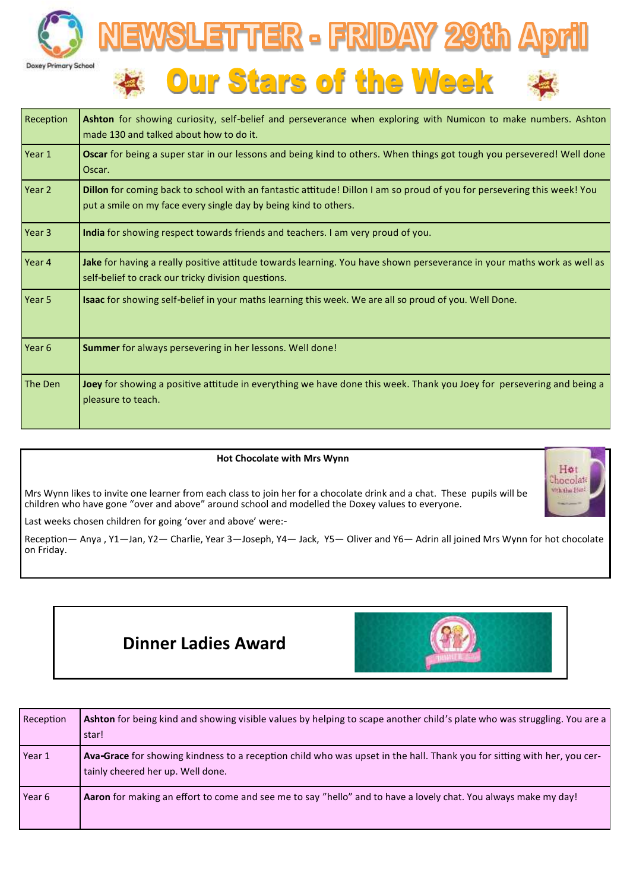



| Reception | Ashton for showing curiosity, self-belief and perseverance when exploring with Numicon to make numbers. Ashton<br>made 130 and talked about how to do it.                                   |  |  |  |
|-----------|---------------------------------------------------------------------------------------------------------------------------------------------------------------------------------------------|--|--|--|
| Year 1    | Oscar for being a super star in our lessons and being kind to others. When things got tough you persevered! Well done<br>Oscar.                                                             |  |  |  |
| Year 2    | Dillon for coming back to school with an fantastic attitude! Dillon I am so proud of you for persevering this week! You<br>put a smile on my face every single day by being kind to others. |  |  |  |
| Year 3    | India for showing respect towards friends and teachers. I am very proud of you.                                                                                                             |  |  |  |
| Year 4    | Jake for having a really positive attitude towards learning. You have shown perseverance in your maths work as well as<br>self-belief to crack our tricky division questions.               |  |  |  |
| Year 5    | Isaac for showing self-belief in your maths learning this week. We are all so proud of you. Well Done.                                                                                      |  |  |  |
| Year 6    | Summer for always persevering in her lessons. Well done!                                                                                                                                    |  |  |  |
| The Den   | Joey for showing a positive attitude in everything we have done this week. Thank you Joey for persevering and being a<br>pleasure to teach.                                                 |  |  |  |

## **Hot Chocolate with Mrs Wynn**

Mrs Wynn likes to invite one learner from each class to join her for a chocolate drink and a chat. These pupils will be children who have gone "over and above" around school and modelled the Doxey values to everyone.



Last weeks chosen children for going 'over and above' were:-

Reception— Anya , Y1—Jan, Y2— Charlie, Year 3—Joseph, Y4— Jack, Y5— Oliver and Y6— Adrin all joined Mrs Wynn for hot chocolate on Friday.





| Reception | Ashton for being kind and showing visible values by helping to scape another child's plate who was struggling. You are a<br>star!                            |
|-----------|--------------------------------------------------------------------------------------------------------------------------------------------------------------|
| Year 1    | Ava-Grace for showing kindness to a reception child who was upset in the hall. Thank you for sitting with her, you cer-<br>tainly cheered her up. Well done. |
| Year 6    | <b>Aaron</b> for making an effort to come and see me to say "hello" and to have a lovely chat. You always make my day!                                       |